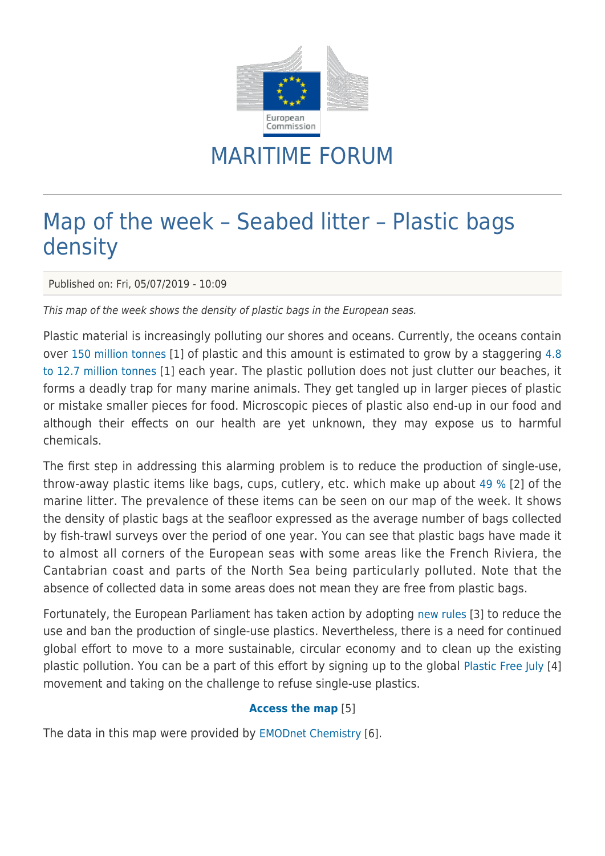

## MARITIME FORUM

## Map of the week – Seabed litter – Plastic bags density

Published on: Fri, 05/07/2019 - 10:09

This map of the week shows the density of plastic bags in the European seas.

Plastic material is increasingly polluting our shores and oceans. Currently, the oceans contain over [150 million tonnes](http://www.europarl.europa.eu/resources/library/images/20181011PHT15768/20181011PHT15768_original.png) [1] of plastic and this amount is estimated to grow by a staggering [4.8](http://www.europarl.europa.eu/resources/library/images/20181011PHT15768/20181011PHT15768_original.png) [to 12.7 million tonnes](http://www.europarl.europa.eu/resources/library/images/20181011PHT15768/20181011PHT15768_original.png) [1] each year. The plastic pollution does not just clutter our beaches, it forms a deadly trap for many marine animals. They get tangled up in larger pieces of plastic or mistake smaller pieces for food. Microscopic pieces of plastic also end-up in our food and although their effects on our health are yet unknown, they may expose us to harmful chemicals.

The first step in addressing this alarming problem is to reduce the production of single-use, throw-away plastic items like bags, cups, cutlery, etc. which make up about [49 %](http://www.europarl.europa.eu/resources/library/images/20181011PHT15771/20181011PHT15771_original.png) [2] of the marine litter. The prevalence of these items can be seen on our map of the week. It shows the density of plastic bags at the seafloor expressed as the average number of bags collected by fish-trawl surveys over the period of one year. You can see that plastic bags have made it to almost all corners of the European seas with some areas like the French Riviera, the Cantabrian coast and parts of the North Sea being particularly polluted. Note that the absence of collected data in some areas does not mean they are free from plastic bags.

Fortunately, the European Parliament has taken action by adopting [new rules](http://europa.eu/rapid/press-release_STATEMENT-19-1873_en.htm) [3] to reduce the use and ban the production of single-use plastics. Nevertheless, there is a need for continued global effort to move to a more sustainable, circular economy and to clean up the existing plastic pollution. You can be a part of this effort by signing up to the global [Plastic Free July](https://www.plasticfreejuly.org/) [4] movement and taking on the challenge to refuse single-use plastics.

## **[Access the map](https://ec.europa.eu/maritimeaffairs/atlas/maritime_atlas/#lang=EN;p=w;bkgd=5;theme=710:0.8;c=31822.92436836427,6729895.175011506;z=5;e=t)** [5]

The data in this map were provided by [EMODnet Chemistry](http://www.emodnet-chemistry.eu/welcome) [6].